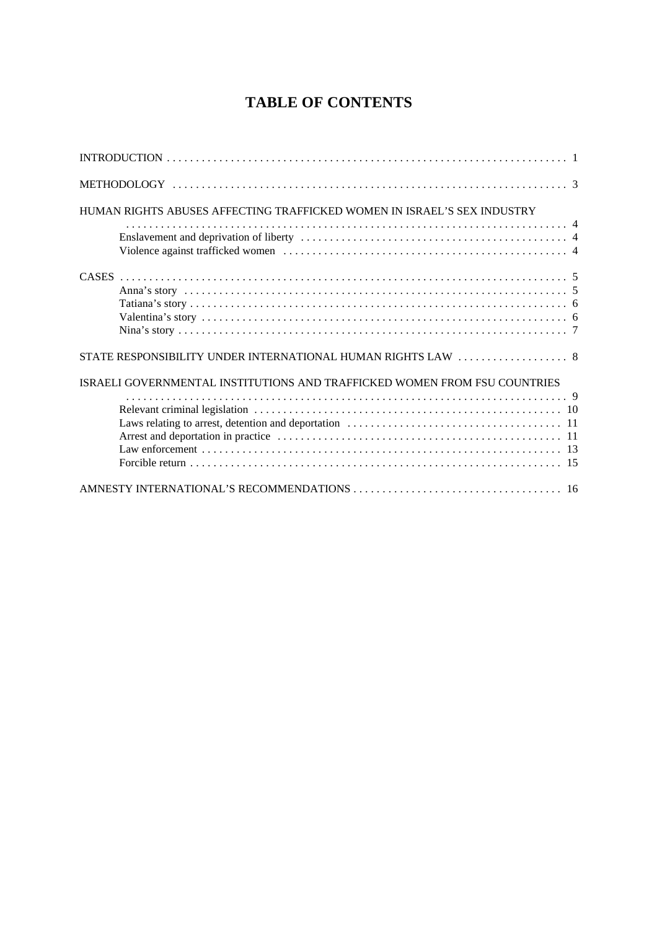## **TABLE OF CONTENTS**

| HUMAN RIGHTS ABUSES AFFECTING TRAFFICKED WOMEN IN ISRAEL'S SEX INDUSTRY   |
|---------------------------------------------------------------------------|
|                                                                           |
|                                                                           |
|                                                                           |
| ISRAELI GOVERNMENTAL INSTITUTIONS AND TRAFFICKED WOMEN FROM FSU COUNTRIES |
|                                                                           |
|                                                                           |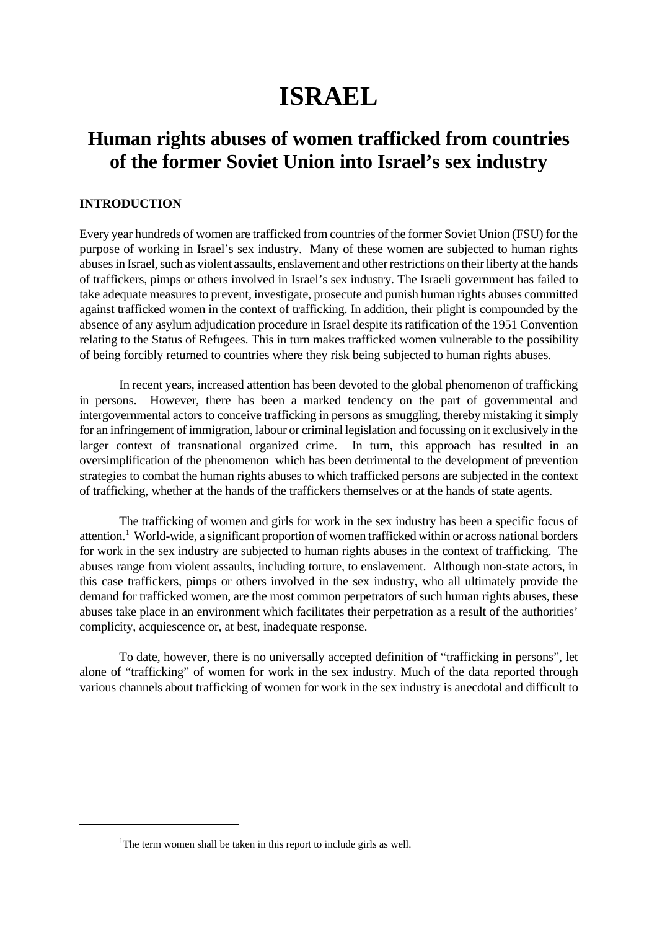# **ISRAEL**

## **Human rights abuses of women trafficked from countries of the former Soviet Union into Israel's sex industry**

## **INTRODUCTION**

Every year hundreds of women are trafficked from countries of the former Soviet Union (FSU) for the purpose of working in Israel's sex industry. Many of these women are subjected to human rights abuses in Israel, such as violent assaults, enslavement and other restrictions on their liberty at the hands of traffickers, pimps or others involved in Israel's sex industry. The Israeli government has failed to take adequate measures to prevent, investigate, prosecute and punish human rights abuses committed against trafficked women in the context of trafficking. In addition, their plight is compounded by the absence of any asylum adjudication procedure in Israel despite its ratification of the 1951 Convention relating to the Status of Refugees. This in turn makes trafficked women vulnerable to the possibility of being forcibly returned to countries where they risk being subjected to human rights abuses.

In recent years, increased attention has been devoted to the global phenomenon of trafficking in persons. However, there has been a marked tendency on the part of governmental and intergovernmental actors to conceive trafficking in persons as smuggling, thereby mistaking it simply for an infringement of immigration, labour or criminal legislation and focussing on it exclusively in the larger context of transnational organized crime. In turn, this approach has resulted in an oversimplification of the phenomenon which has been detrimental to the development of prevention strategies to combat the human rights abuses to which trafficked persons are subjected in the context of trafficking, whether at the hands of the traffickers themselves or at the hands of state agents.

The trafficking of women and girls for work in the sex industry has been a specific focus of attention.<sup>1</sup> World-wide, a significant proportion of women trafficked within or across national borders for work in the sex industry are subjected to human rights abuses in the context of trafficking. The abuses range from violent assaults, including torture, to enslavement. Although non-state actors, in this case traffickers, pimps or others involved in the sex industry, who all ultimately provide the demand for trafficked women, are the most common perpetrators of such human rights abuses, these abuses take place in an environment which facilitates their perpetration as a result of the authorities' complicity, acquiescence or, at best, inadequate response.

To date, however, there is no universally accepted definition of "trafficking in persons", let alone of "trafficking" of women for work in the sex industry. Much of the data reported through various channels about trafficking of women for work in the sex industry is anecdotal and difficult to

<sup>&</sup>lt;sup>1</sup>The term women shall be taken in this report to include girls as well.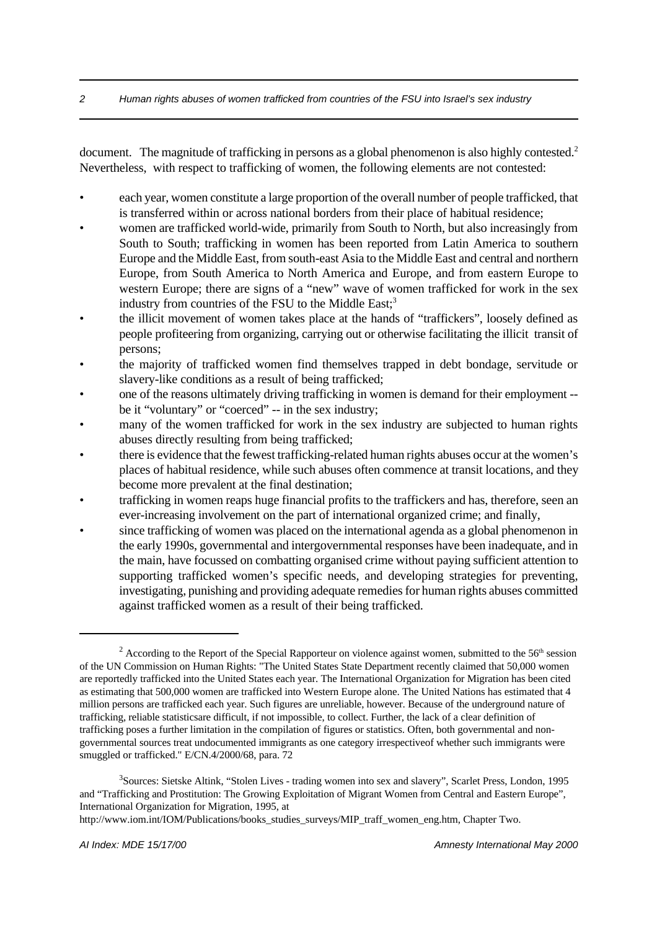document. The magnitude of trafficking in persons as a global phenomenon is also highly contested.<sup>2</sup> Nevertheless, with respect to trafficking of women, the following elements are not contested:

- each year, women constitute a large proportion of the overall number of people trafficked, that is transferred within or across national borders from their place of habitual residence;
- women are trafficked world-wide, primarily from South to North, but also increasingly from South to South; trafficking in women has been reported from Latin America to southern Europe and the Middle East, from south-east Asia to the Middle East and central and northern Europe, from South America to North America and Europe, and from eastern Europe to western Europe; there are signs of a "new" wave of women trafficked for work in the sex industry from countries of the FSU to the Middle East;<sup>3</sup>
- the illicit movement of women takes place at the hands of "traffickers", loosely defined as people profiteering from organizing, carrying out or otherwise facilitating the illicit transit of persons;
- the majority of trafficked women find themselves trapped in debt bondage, servitude or slavery-like conditions as a result of being trafficked;
- one of the reasons ultimately driving trafficking in women is demand for their employment be it "voluntary" or "coerced" -- in the sex industry;
- many of the women trafficked for work in the sex industry are subjected to human rights abuses directly resulting from being trafficked;
- there is evidence that the fewest trafficking-related human rights abuses occur at the women's places of habitual residence, while such abuses often commence at transit locations, and they become more prevalent at the final destination;
- trafficking in women reaps huge financial profits to the traffickers and has, therefore, seen an ever-increasing involvement on the part of international organized crime; and finally,
- since trafficking of women was placed on the international agenda as a global phenomenon in the early 1990s, governmental and intergovernmental responses have been inadequate, and in the main, have focussed on combatting organised crime without paying sufficient attention to supporting trafficked women's specific needs, and developing strategies for preventing, investigating, punishing and providing adequate remedies for human rights abuses committed against trafficked women as a result of their being trafficked.

<sup>&</sup>lt;sup>2</sup> According to the Report of the Special Rapporteur on violence against women, submitted to the 56<sup>th</sup> session of the UN Commission on Human Rights: "The United States State Department recently claimed that 50,000 women are reportedly trafficked into the United States each year. The International Organization for Migration has been cited as estimating that 500,000 women are trafficked into Western Europe alone. The United Nations has estimated that 4 million persons are trafficked each year. Such figures are unreliable, however. Because of the underground nature of trafficking, reliable statisticsare difficult, if not impossible, to collect. Further, the lack of a clear definition of trafficking poses a further limitation in the compilation of figures or statistics. Often, both governmental and nongovernmental sources treat undocumented immigrants as one category irrespectiveof whether such immigrants were smuggled or trafficked." E/CN.4/2000/68, para. 72

<sup>&</sup>lt;sup>3</sup>Sources: Sietske Altink, "Stolen Lives - trading women into sex and slavery", Scarlet Press, London, 1995 and "Trafficking and Prostitution: The Growing Exploitation of Migrant Women from Central and Eastern Europe", International Organization for Migration, 1995, at

http://www.iom.int/IOM/Publications/books\_studies\_surveys/MIP\_traff\_women\_eng.htm, Chapter Two.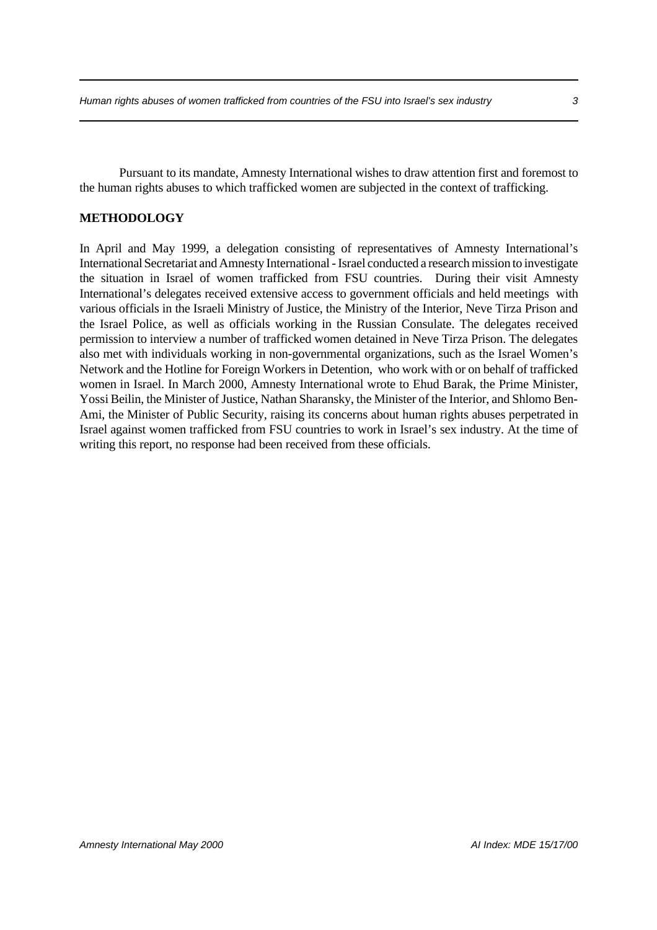Pursuant to its mandate, Amnesty International wishes to draw attention first and foremost to the human rights abuses to which trafficked women are subjected in the context of trafficking.

## **METHODOLOGY**

In April and May 1999, a delegation consisting of representatives of Amnesty International's International Secretariat and Amnesty International - Israel conducted a research mission to investigate the situation in Israel of women trafficked from FSU countries. During their visit Amnesty International's delegates received extensive access to government officials and held meetings with various officials in the Israeli Ministry of Justice, the Ministry of the Interior, Neve Tirza Prison and the Israel Police, as well as officials working in the Russian Consulate. The delegates received permission to interview a number of trafficked women detained in Neve Tirza Prison. The delegates also met with individuals working in non-governmental organizations, such as the Israel Women's Network and the Hotline for Foreign Workers in Detention, who work with or on behalf of trafficked women in Israel. In March 2000, Amnesty International wrote to Ehud Barak, the Prime Minister, Yossi Beilin, the Minister of Justice, Nathan Sharansky, the Minister of the Interior, and Shlomo Ben-Ami, the Minister of Public Security, raising its concerns about human rights abuses perpetrated in Israel against women trafficked from FSU countries to work in Israel's sex industry. At the time of writing this report, no response had been received from these officials.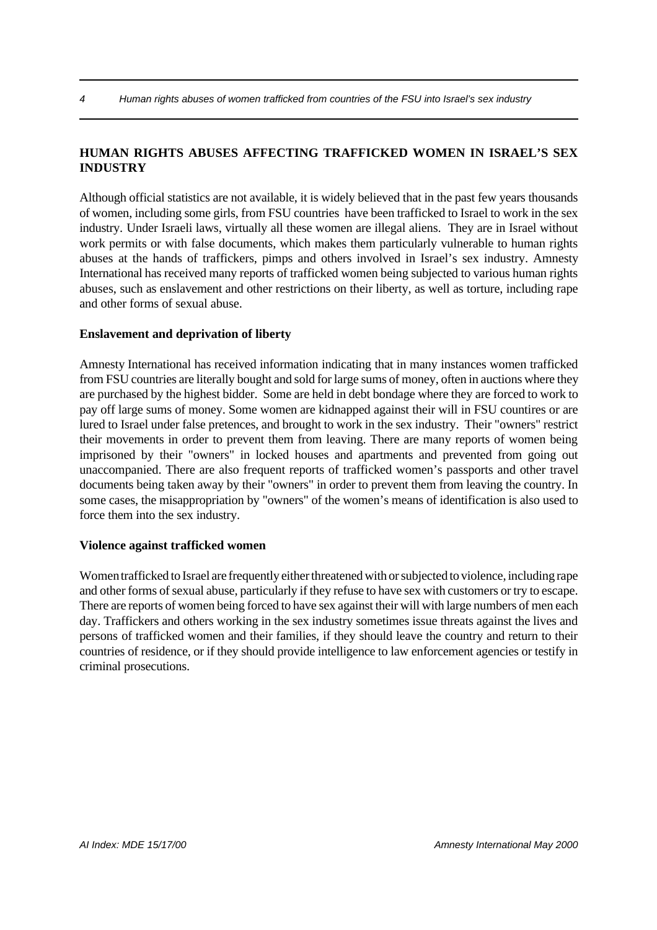## **HUMAN RIGHTS ABUSES AFFECTING TRAFFICKED WOMEN IN ISRAEL'S SEX INDUSTRY**

Although official statistics are not available, it is widely believed that in the past few years thousands of women, including some girls, from FSU countries have been trafficked to Israel to work in the sex industry. Under Israeli laws, virtually all these women are illegal aliens. They are in Israel without work permits or with false documents, which makes them particularly vulnerable to human rights abuses at the hands of traffickers, pimps and others involved in Israel's sex industry. Amnesty International has received many reports of trafficked women being subjected to various human rights abuses, such as enslavement and other restrictions on their liberty, as well as torture, including rape and other forms of sexual abuse.

### **Enslavement and deprivation of liberty**

Amnesty International has received information indicating that in many instances women trafficked from FSU countries are literally bought and sold for large sums of money, often in auctions where they are purchased by the highest bidder. Some are held in debt bondage where they are forced to work to pay off large sums of money. Some women are kidnapped against their will in FSU countires or are lured to Israel under false pretences, and brought to work in the sex industry. Their "owners" restrict their movements in order to prevent them from leaving. There are many reports of women being imprisoned by their "owners" in locked houses and apartments and prevented from going out unaccompanied. There are also frequent reports of trafficked women's passports and other travel documents being taken away by their "owners" in order to prevent them from leaving the country. In some cases, the misappropriation by "owners" of the women's means of identification is also used to force them into the sex industry.

### **Violence against trafficked women**

Women trafficked to Israel are frequently either threatened with or subjected to violence, including rape and other forms of sexual abuse, particularly if they refuse to have sex with customers or try to escape. There are reports of women being forced to have sex against their will with large numbers of men each day. Traffickers and others working in the sex industry sometimes issue threats against the lives and persons of trafficked women and their families, if they should leave the country and return to their countries of residence, or if they should provide intelligence to law enforcement agencies or testify in criminal prosecutions.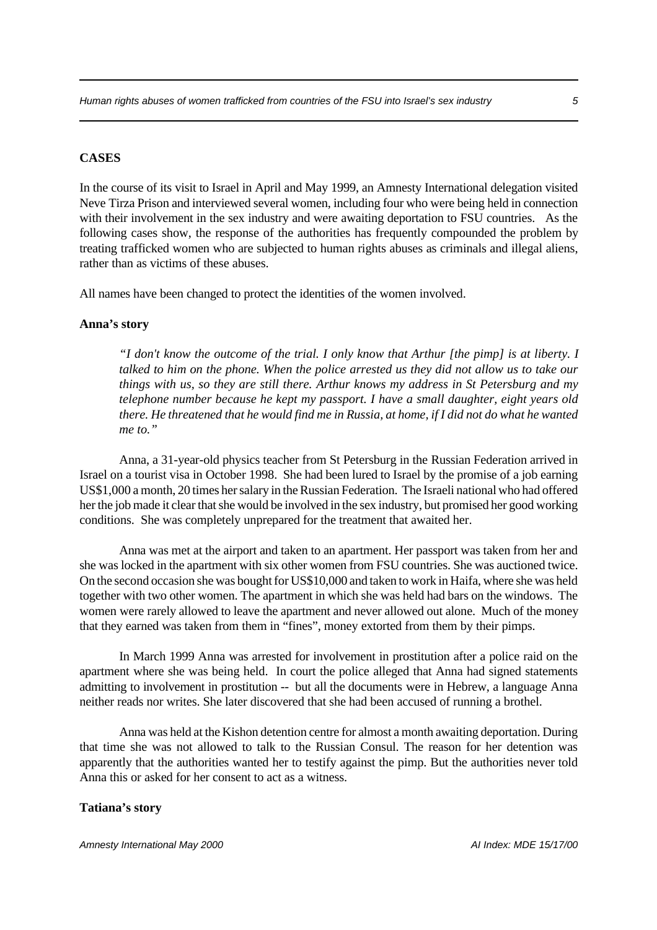### **CASES**

In the course of its visit to Israel in April and May 1999, an Amnesty International delegation visited Neve Tirza Prison and interviewed several women, including four who were being held in connection with their involvement in the sex industry and were awaiting deportation to FSU countries. As the following cases show, the response of the authorities has frequently compounded the problem by treating trafficked women who are subjected to human rights abuses as criminals and illegal aliens, rather than as victims of these abuses.

All names have been changed to protect the identities of the women involved.

#### **Anna's story**

*"I don't know the outcome of the trial. I only know that Arthur [the pimp] is at liberty. I talked to him on the phone. When the police arrested us they did not allow us to take our things with us, so they are still there. Arthur knows my address in St Petersburg and my telephone number because he kept my passport. I have a small daughter, eight years old there. He threatened that he would find me in Russia, at home, if I did not do what he wanted me to."* 

Anna, a 31-year-old physics teacher from St Petersburg in the Russian Federation arrived in Israel on a tourist visa in October 1998. She had been lured to Israel by the promise of a job earning US\$1,000 a month, 20 times her salary in the Russian Federation. The Israeli national who had offered her the job made it clear that she would be involved in the sex industry, but promised her good working conditions. She was completely unprepared for the treatment that awaited her.

Anna was met at the airport and taken to an apartment. Her passport was taken from her and she was locked in the apartment with six other women from FSU countries. She was auctioned twice. On the second occasion she was bought for US\$10,000 and taken to work in Haifa, where she was held together with two other women. The apartment in which she was held had bars on the windows. The women were rarely allowed to leave the apartment and never allowed out alone. Much of the money that they earned was taken from them in "fines", money extorted from them by their pimps.

In March 1999 Anna was arrested for involvement in prostitution after a police raid on the apartment where she was being held. In court the police alleged that Anna had signed statements admitting to involvement in prostitution -- but all the documents were in Hebrew, a language Anna neither reads nor writes. She later discovered that she had been accused of running a brothel.

Anna was held at the Kishon detention centre for almost a month awaiting deportation. During that time she was not allowed to talk to the Russian Consul. The reason for her detention was apparently that the authorities wanted her to testify against the pimp. But the authorities never told Anna this or asked for her consent to act as a witness.

### **Tatiana's story**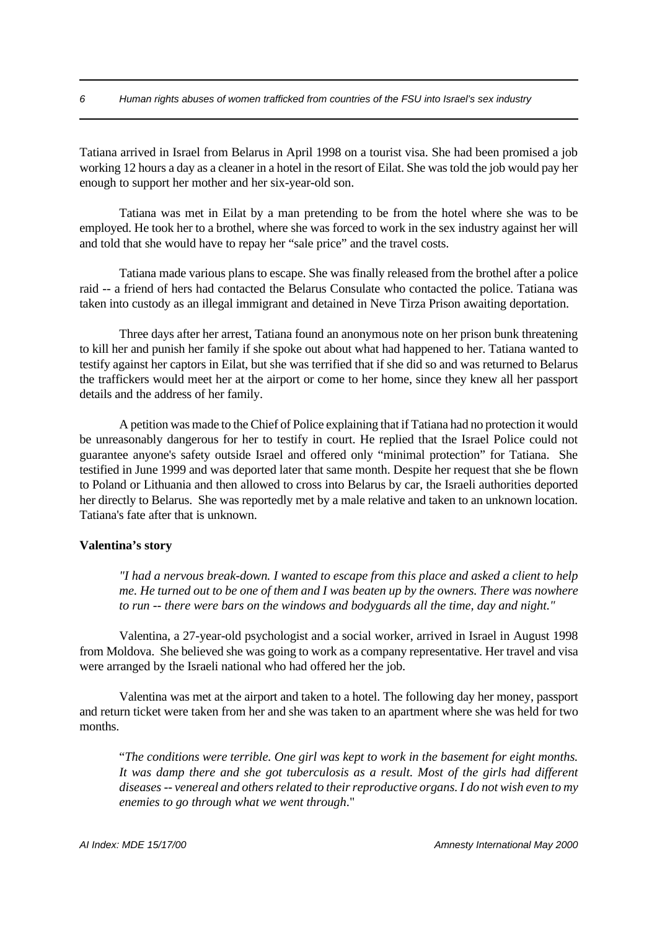Tatiana arrived in Israel from Belarus in April 1998 on a tourist visa. She had been promised a job working 12 hours a day as a cleaner in a hotel in the resort of Eilat. She was told the job would pay her enough to support her mother and her six-year-old son.

Tatiana was met in Eilat by a man pretending to be from the hotel where she was to be employed. He took her to a brothel, where she was forced to work in the sex industry against her will and told that she would have to repay her "sale price" and the travel costs.

Tatiana made various plans to escape. She was finally released from the brothel after a police raid -- a friend of hers had contacted the Belarus Consulate who contacted the police. Tatiana was taken into custody as an illegal immigrant and detained in Neve Tirza Prison awaiting deportation.

Three days after her arrest, Tatiana found an anonymous note on her prison bunk threatening to kill her and punish her family if she spoke out about what had happened to her. Tatiana wanted to testify against her captors in Eilat, but she was terrified that if she did so and was returned to Belarus the traffickers would meet her at the airport or come to her home, since they knew all her passport details and the address of her family.

A petition was made to the Chief of Police explaining that if Tatiana had no protection it would be unreasonably dangerous for her to testify in court. He replied that the Israel Police could not guarantee anyone's safety outside Israel and offered only "minimal protection" for Tatiana. She testified in June 1999 and was deported later that same month. Despite her request that she be flown to Poland or Lithuania and then allowed to cross into Belarus by car, the Israeli authorities deported her directly to Belarus. She was reportedly met by a male relative and taken to an unknown location. Tatiana's fate after that is unknown.

#### **Valentina's story**

*"I had a nervous break-down. I wanted to escape from this place and asked a client to help me. He turned out to be one of them and I was beaten up by the owners. There was nowhere to run -- there were bars on the windows and bodyguards all the time, day and night."*

Valentina, a 27-year-old psychologist and a social worker, arrived in Israel in August 1998 from Moldova. She believed she was going to work as a company representative. Her travel and visa were arranged by the Israeli national who had offered her the job.

Valentina was met at the airport and taken to a hotel. The following day her money, passport and return ticket were taken from her and she was taken to an apartment where she was held for two months.

"*The conditions were terrible. One girl was kept to work in the basement for eight months. It was damp there and she got tuberculosis as a result. Most of the girls had different diseases -- venereal and others related to their reproductive organs. I do not wish even to my enemies to go through what we went through*."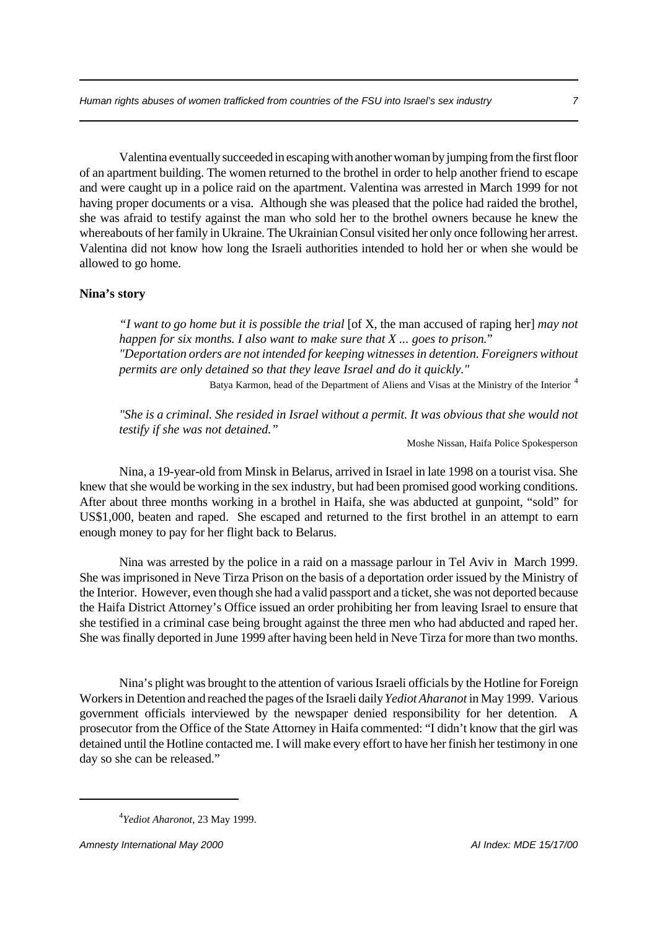Valentina eventually succeeded in escaping with another woman by jumping from the first floor of an apartment building. The women returned to the brothel in order to help another friend to escape and were caught up in a police raid on the apartment. Valentina was arrested in March 1999 for not having proper documents or a visa. Although she was pleased that the police had raided the brothel, she was afraid to testify against the man who sold her to the brothel owners because he knew the whereabouts of her family in Ukraine. The Ukrainian Consul visited her only once following her arrest. Valentina did not know how long the Israeli authorities intended to hold her or when she would be allowed to go home.

## **Nina's story**

*"I want to go home but it is possible the trial* [of X, the man accused of raping her] *may not happen for six months. I also want to make sure that X ... goes to prison.*" *"Deportation orders are not intended for keeping witnesses in detention. Foreigners without permits are only detained so that they leave Israel and do it quickly."* Batya Karmon, head of the Department of Aliens and Visas at the Ministry of the Interior <sup>4</sup>

*"She is a criminal. She resided in Israel without a permit. It was obvious that she would not testify if she was not detained."*

Moshe Nissan, Haifa Police Spokesperson

Nina, a 19-year-old from Minsk in Belarus, arrived in Israel in late 1998 on a tourist visa. She knew that she would be working in the sex industry, but had been promised good working conditions. After about three months working in a brothel in Haifa, she was abducted at gunpoint, "sold" for US\$1,000, beaten and raped. She escaped and returned to the first brothel in an attempt to earn enough money to pay for her flight back to Belarus.

Nina was arrested by the police in a raid on a massage parlour in Tel Aviv in March 1999. She was imprisoned in Neve Tirza Prison on the basis of a deportation order issued by the Ministry of the Interior. However, even though she had a valid passport and a ticket, she was not deported because the Haifa District Attorney's Office issued an order prohibiting her from leaving Israel to ensure that she testified in a criminal case being brought against the three men who had abducted and raped her. She was finally deported in June 1999 after having been held in Neve Tirza for more than two months.

Nina's plight was brought to the attention of various Israeli officials by the Hotline for Foreign Workers in Detention and reached the pages of the Israeli daily *Yediot Aharanot* in May 1999. Various government officials interviewed by the newspaper denied responsibility for her detention. A prosecutor from the Office of the State Attorney in Haifa commented: "I didn't know that the girl was detained until the Hotline contacted me. I will make every effort to have her finish her testimony in one day so she can be released."

<sup>4</sup> *Yediot Aharonot*, 23 May 1999.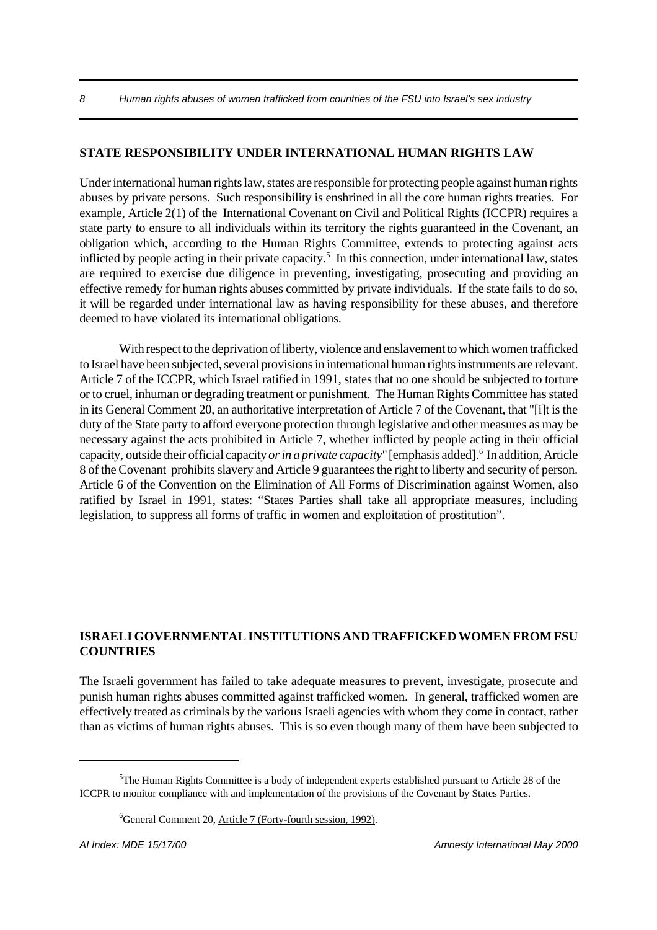## **STATE RESPONSIBILITY UNDER INTERNATIONAL HUMAN RIGHTS LAW**

Under international human rights law, states are responsible for protecting people against human rights abuses by private persons. Such responsibility is enshrined in all the core human rights treaties. For example, Article 2(1) of the International Covenant on Civil and Political Rights (ICCPR) requires a state party to ensure to all individuals within its territory the rights guaranteed in the Covenant, an obligation which, according to the Human Rights Committee, extends to protecting against acts inflicted by people acting in their private capacity.<sup>5</sup> In this connection, under international law, states are required to exercise due diligence in preventing, investigating, prosecuting and providing an effective remedy for human rights abuses committed by private individuals. If the state fails to do so, it will be regarded under international law as having responsibility for these abuses, and therefore deemed to have violated its international obligations.

With respect to the deprivation of liberty, violence and enslavement to which women trafficked to Israel have been subjected, several provisions in international human rights instruments are relevant. Article 7 of the ICCPR, which Israel ratified in 1991, states that no one should be subjected to torture or to cruel, inhuman or degrading treatment or punishment. The Human Rights Committee has stated in its General Comment 20, an authoritative interpretation of Article 7 of the Covenant, that "[i]t is the duty of the State party to afford everyone protection through legislative and other measures as may be necessary against the acts prohibited in Article 7, whether inflicted by people acting in their official capacity, outside their official capacity *or in a private capacity*" [emphasis added].<sup>6</sup> In addition, Article 8 of the Covenant prohibits slavery and Article 9 guarantees the right to liberty and security of person. Article 6 of the Convention on the Elimination of All Forms of Discrimination against Women, also ratified by Israel in 1991, states: "States Parties shall take all appropriate measures, including legislation, to suppress all forms of traffic in women and exploitation of prostitution".

## **ISRAELI GOVERNMENTAL INSTITUTIONS AND TRAFFICKED WOMEN FROM FSU COUNTRIES**

The Israeli government has failed to take adequate measures to prevent, investigate, prosecute and punish human rights abuses committed against trafficked women. In general, trafficked women are effectively treated as criminals by the various Israeli agencies with whom they come in contact, rather than as victims of human rights abuses. This is so even though many of them have been subjected to

<sup>5</sup>The Human Rights Committee is a body of independent experts established pursuant to Article 28 of the ICCPR to monitor compliance with and implementation of the provisions of the Covenant by States Parties.

<sup>6</sup>General Comment 20, Article 7 (Forty-fourth session, 1992).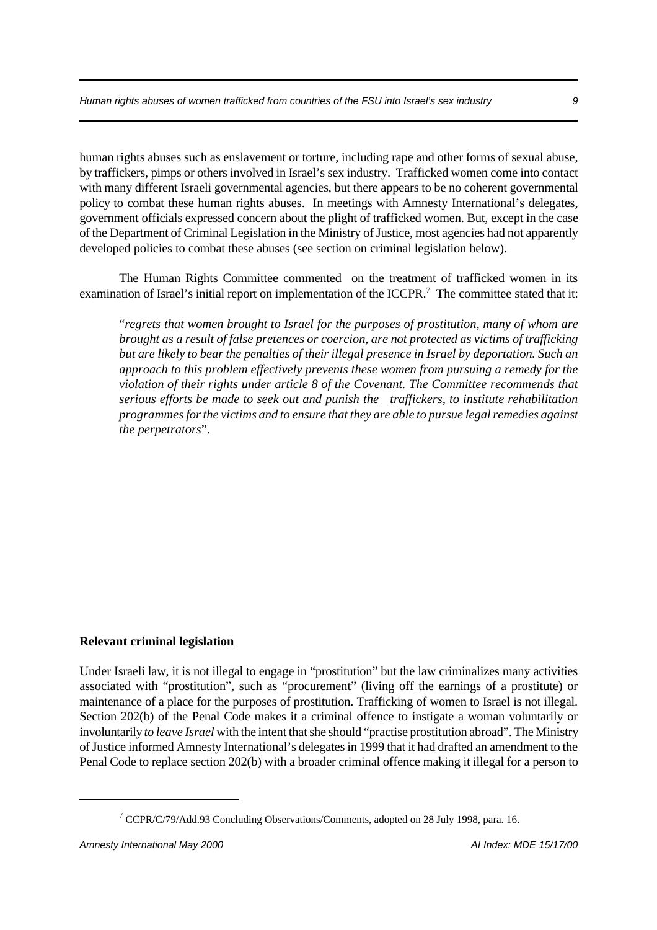human rights abuses such as enslavement or torture, including rape and other forms of sexual abuse, by traffickers, pimps or others involved in Israel's sex industry. Trafficked women come into contact with many different Israeli governmental agencies, but there appears to be no coherent governmental policy to combat these human rights abuses. In meetings with Amnesty International's delegates, government officials expressed concern about the plight of trafficked women. But, except in the case of the Department of Criminal Legislation in the Ministry of Justice, most agencies had not apparently developed policies to combat these abuses (see section on criminal legislation below).

The Human Rights Committee commented on the treatment of trafficked women in its examination of Israel's initial report on implementation of the ICCPR.<sup>7</sup> The committee stated that it:

"*regrets that women brought to Israel for the purposes of prostitution, many of whom are brought as a result of false pretences or coercion, are not protected as victims of trafficking but are likely to bear the penalties of their illegal presence in Israel by deportation. Such an approach to this problem effectively prevents these women from pursuing a remedy for the violation of their rights under article 8 of the Covenant. The Committee recommends that serious efforts be made to seek out and punish the traffickers, to institute rehabilitation programmes for the victims and to ensure that they are able to pursue legal remedies against the perpetrators*".

## **Relevant criminal legislation**

Under Israeli law, it is not illegal to engage in "prostitution" but the law criminalizes many activities associated with "prostitution", such as "procurement" (living off the earnings of a prostitute) or maintenance of a place for the purposes of prostitution. Trafficking of women to Israel is not illegal. Section 202(b) of the Penal Code makes it a criminal offence to instigate a woman voluntarily or involuntarily *to leave Israel* with the intent that she should "practise prostitution abroad". The Ministry of Justice informed Amnesty International's delegates in 1999 that it had drafted an amendment to the Penal Code to replace section 202(b) with a broader criminal offence making it illegal for a person to

<sup>&</sup>lt;sup>7</sup> CCPR/C/79/Add.93 Concluding Observations/Comments, adopted on 28 July 1998, para. 16.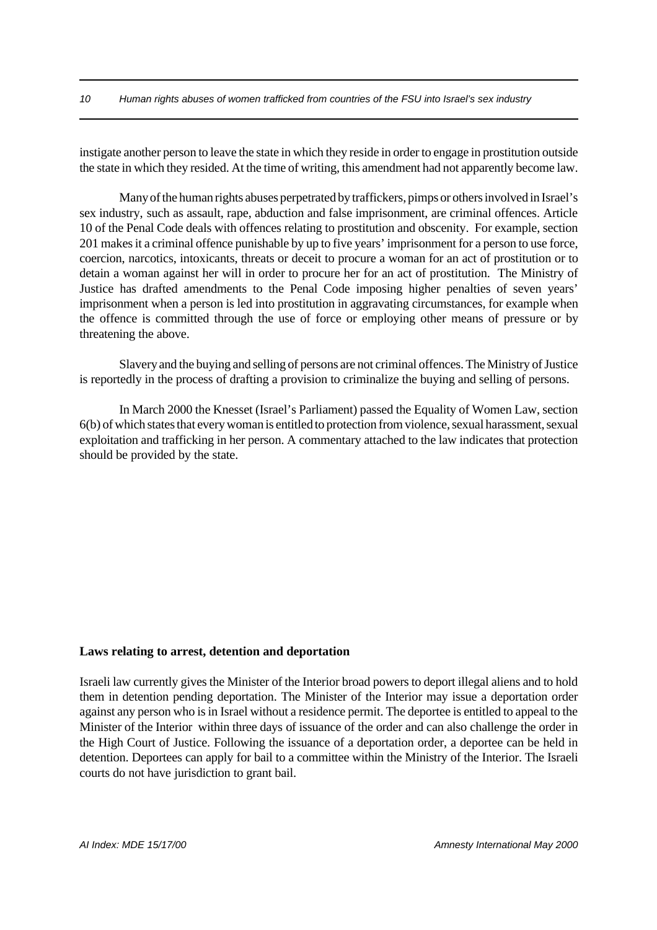#### *10 Human rights abuses of women trafficked from countries of the FSU into Israel's sex industry*

instigate another person to leave the state in which they reside in order to engage in prostitution outside the state in which they resided. At the time of writing, this amendment had not apparently become law.

Many of the human rights abuses perpetrated by traffickers, pimps or others involved in Israel's sex industry, such as assault, rape, abduction and false imprisonment, are criminal offences. Article 10 of the Penal Code deals with offences relating to prostitution and obscenity. For example, section 201 makes it a criminal offence punishable by up to five years' imprisonment for a person to use force, coercion, narcotics, intoxicants, threats or deceit to procure a woman for an act of prostitution or to detain a woman against her will in order to procure her for an act of prostitution. The Ministry of Justice has drafted amendments to the Penal Code imposing higher penalties of seven years' imprisonment when a person is led into prostitution in aggravating circumstances, for example when the offence is committed through the use of force or employing other means of pressure or by threatening the above.

Slavery and the buying and selling of persons are not criminal offences. The Ministry of Justice is reportedly in the process of drafting a provision to criminalize the buying and selling of persons.

In March 2000 the Knesset (Israel's Parliament) passed the Equality of Women Law, section 6(b) of which states that every woman is entitled to protection from violence, sexual harassment, sexual exploitation and trafficking in her person. A commentary attached to the law indicates that protection should be provided by the state.

## **Laws relating to arrest, detention and deportation**

Israeli law currently gives the Minister of the Interior broad powers to deport illegal aliens and to hold them in detention pending deportation. The Minister of the Interior may issue a deportation order against any person who is in Israel without a residence permit. The deportee is entitled to appeal to the Minister of the Interior within three days of issuance of the order and can also challenge the order in the High Court of Justice. Following the issuance of a deportation order, a deportee can be held in detention. Deportees can apply for bail to a committee within the Ministry of the Interior. The Israeli courts do not have jurisdiction to grant bail.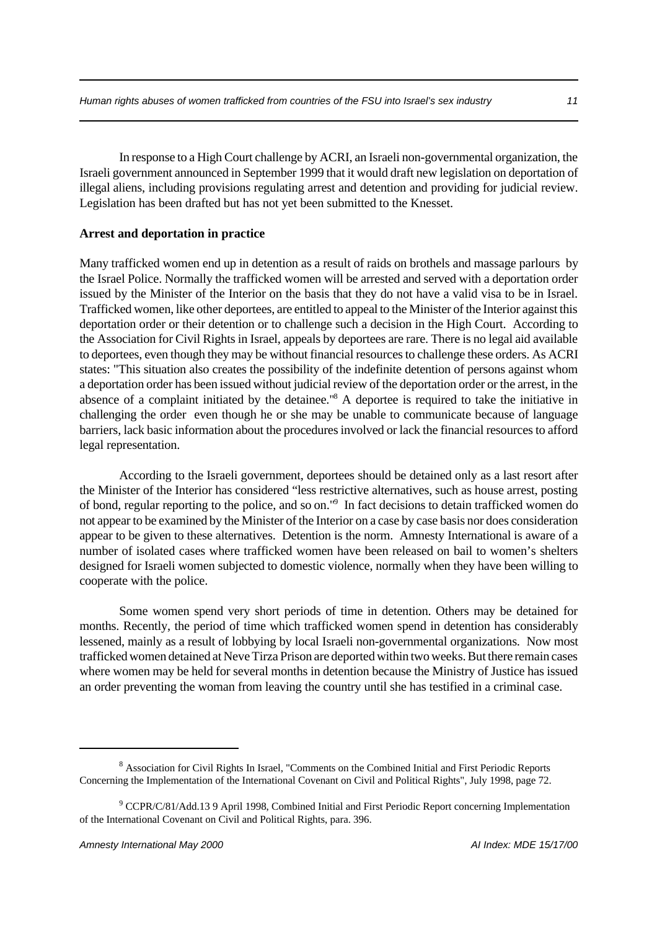In response to a High Court challenge by ACRI, an Israeli non-governmental organization, the Israeli government announced in September 1999 that it would draft new legislation on deportation of illegal aliens, including provisions regulating arrest and detention and providing for judicial review. Legislation has been drafted but has not yet been submitted to the Knesset.

## **Arrest and deportation in practice**

Many trafficked women end up in detention as a result of raids on brothels and massage parloursby the Israel Police. Normally the trafficked women will be arrested and served with a deportation order issued by the Minister of the Interior on the basis that they do not have a valid visa to be in Israel. Trafficked women, like other deportees, are entitled to appeal to the Minister of the Interior against this deportation order or their detention or to challenge such a decision in the High Court. According to the Association for Civil Rights in Israel, appeals by deportees are rare. There is no legal aid available to deportees, even though they may be without financial resources to challenge these orders. As ACRI states: "This situation also creates the possibility of the indefinite detention of persons against whom a deportation order has been issued without judicial review of the deportation order or the arrest, in the absence of a complaint initiated by the detainee."<sup>8</sup> A deportee is required to take the initiative in challenging the order even though he or she may be unable to communicate because of language barriers, lack basic information about the procedures involved or lack the financial resources to afford legal representation.

According to the Israeli government, deportees should be detained only as a last resort after the Minister of the Interior has considered "less restrictive alternatives, such as house arrest, posting of bond, regular reporting to the police, and so on."<sup>9</sup> In fact decisions to detain trafficked women do not appear to be examined by the Minister of the Interior on a case by case basis nor does consideration appear to be given to these alternatives. Detention is the norm. Amnesty International is aware of a number of isolated cases where trafficked women have been released on bail to women's shelters designed for Israeli women subjected to domestic violence, normally when they have been willing to cooperate with the police.

Some women spend very short periods of time in detention. Others may be detained for months. Recently, the period of time which trafficked women spend in detention has considerably lessened, mainly as a result of lobbying by local Israeli non-governmental organizations. Now most trafficked women detained at Neve Tirza Prison are deported within two weeks. But there remain cases where women may be held for several months in detention because the Ministry of Justice has issued an order preventing the woman from leaving the country until she has testified in a criminal case.

<sup>&</sup>lt;sup>8</sup> Association for Civil Rights In Israel, "Comments on the Combined Initial and First Periodic Reports Concerning the Implementation of the International Covenant on Civil and Political Rights", July 1998, page 72.

<sup>&</sup>lt;sup>9</sup> CCPR/C/81/Add.13 9 April 1998, Combined Initial and First Periodic Report concerning Implementation of the International Covenant on Civil and Political Rights, para. 396.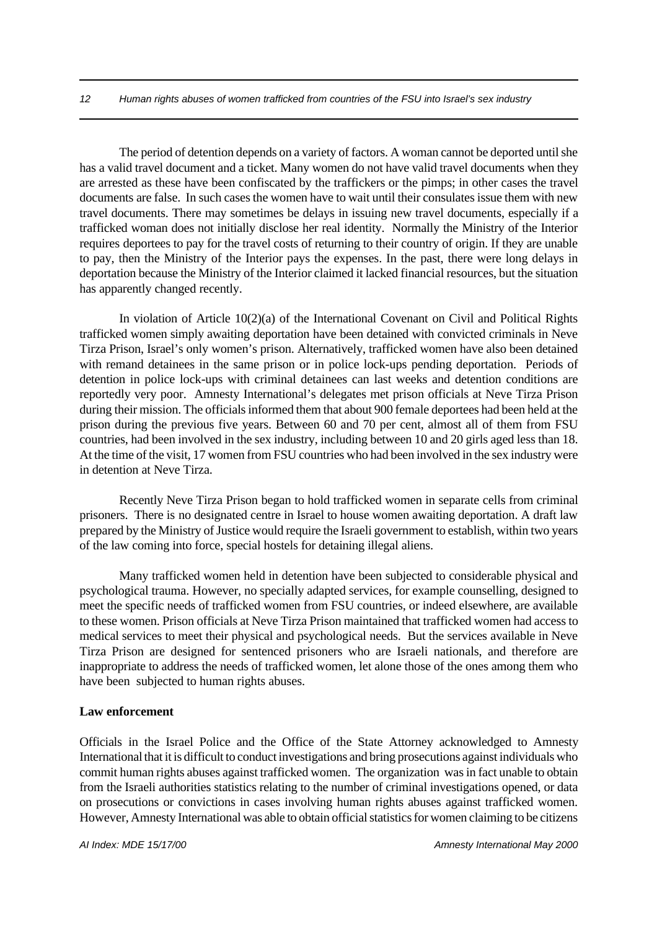#### *12 Human rights abuses of women trafficked from countries of the FSU into Israel's sex industry*

The period of detention depends on a variety of factors. A woman cannot be deported until she has a valid travel document and a ticket. Many women do not have valid travel documents when they are arrested as these have been confiscated by the traffickers or the pimps; in other cases the travel documents are false. In such cases the women have to wait until their consulates issue them with new travel documents. There may sometimes be delays in issuing new travel documents, especially if a trafficked woman does not initially disclose her real identity. Normally the Ministry of the Interior requires deportees to pay for the travel costs of returning to their country of origin. If they are unable to pay, then the Ministry of the Interior pays the expenses. In the past, there were long delays in deportation because the Ministry of the Interior claimed it lacked financial resources, but the situation has apparently changed recently.

In violation of Article 10(2)(a) of the International Covenant on Civil and Political Rights trafficked women simply awaiting deportation have been detained with convicted criminals in Neve Tirza Prison, Israel's only women's prison. Alternatively, trafficked women have also been detained with remand detainees in the same prison or in police lock-ups pending deportation. Periods of detention in police lock-ups with criminal detainees can last weeks and detention conditions are reportedly very poor. Amnesty International's delegates met prison officials at Neve Tirza Prison during their mission. The officials informed them that about 900 female deportees had been held at the prison during the previous five years. Between 60 and 70 per cent, almost all of them from FSU countries, had been involved in the sex industry, including between 10 and 20 girls aged less than 18. At the time of the visit, 17 women from FSU countries who had been involved in the sex industry were in detention at Neve Tirza.

Recently Neve Tirza Prison began to hold trafficked women in separate cells from criminal prisoners. There is no designated centre in Israel to house women awaiting deportation. A draft law prepared by the Ministry of Justice would require the Israeli government to establish, within two years of the law coming into force, special hostels for detaining illegal aliens.

Many trafficked women held in detention have been subjected to considerable physical and psychological trauma. However, no specially adapted services, for example counselling, designed to meet the specific needs of trafficked women from FSU countries, or indeed elsewhere, are available to these women. Prison officials at Neve Tirza Prison maintained that trafficked women had access to medical services to meet their physical and psychological needs. But the services available in Neve Tirza Prison are designed for sentenced prisoners who are Israeli nationals, and therefore are inappropriate to address the needs of trafficked women, let alone those of the ones among them who have been subjected to human rights abuses.

### **Law enforcement**

Officials in the Israel Police and the Office of the State Attorney acknowledged to Amnesty International that it is difficult to conduct investigations and bring prosecutions against individuals who commit human rights abuses against trafficked women. The organization was in fact unable to obtain from the Israeli authorities statistics relating to the number of criminal investigations opened, or data on prosecutions or convictions in cases involving human rights abuses against trafficked women. However, Amnesty International was able to obtain official statistics for women claiming to be citizens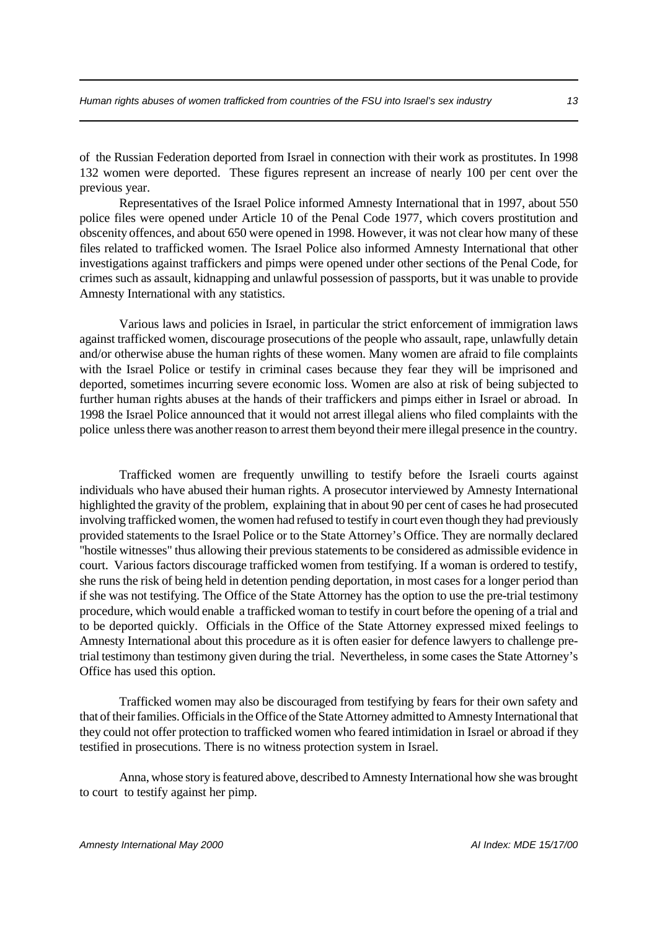of the Russian Federation deported from Israel in connection with their work as prostitutes. In 1998 132 women were deported. These figures represent an increase of nearly 100 per cent over the previous year.

Representatives of the Israel Police informed Amnesty International that in 1997, about 550 police files were opened under Article 10 of the Penal Code 1977, which covers prostitution and obscenity offences, and about 650 were opened in 1998. However, it was not clear how many of these files related to trafficked women. The Israel Police also informed Amnesty International that other investigations against traffickers and pimps were opened under other sections of the Penal Code, for crimes such as assault, kidnapping and unlawful possession of passports, but it was unable to provide Amnesty International with any statistics.

Various laws and policies in Israel, in particular the strict enforcement of immigration laws against trafficked women, discourage prosecutions of the people who assault, rape, unlawfully detain and/or otherwise abuse the human rights of these women. Many women are afraid to file complaints with the Israel Police or testify in criminal cases because they fear they will be imprisoned and deported, sometimes incurring severe economic loss. Women are also at risk of being subjected to further human rights abuses at the hands of their traffickers and pimps either in Israel or abroad. In 1998 the Israel Police announced that it would not arrest illegal aliens who filed complaints with the police unless there was another reason to arrest them beyond their mere illegal presence in the country.

Trafficked women are frequently unwilling to testify before the Israeli courts against individuals who have abused their human rights. A prosecutor interviewed by Amnesty International highlighted the gravity of the problem, explaining that in about 90 per cent of cases he had prosecuted involving trafficked women, the women had refused to testify in court even though they had previously provided statements to the Israel Police or to the State Attorney's Office. They are normally declared "hostile witnesses" thus allowing their previous statements to be considered as admissible evidence in court. Various factors discourage trafficked women from testifying. If a woman is ordered to testify, she runs the risk of being held in detention pending deportation, in most cases for a longer period than if she was not testifying. The Office of the State Attorney has the option to use the pre-trial testimony procedure, which would enable a trafficked woman to testify in court before the opening of a trial and to be deported quickly. Officials in the Office of the State Attorney expressed mixed feelings to Amnesty International about this procedure as it is often easier for defence lawyers to challenge pretrial testimony than testimony given during the trial. Nevertheless, in some cases the State Attorney's Office has used this option.

Trafficked women may also be discouraged from testifying by fears for their own safety and that of their families. Officials in the Office of the State Attorney admitted to Amnesty International that they could not offer protection to trafficked women who feared intimidation in Israel or abroad if they testified in prosecutions. There is no witness protection system in Israel.

Anna, whose story is featured above, described to Amnesty International how she was brought to court to testify against her pimp.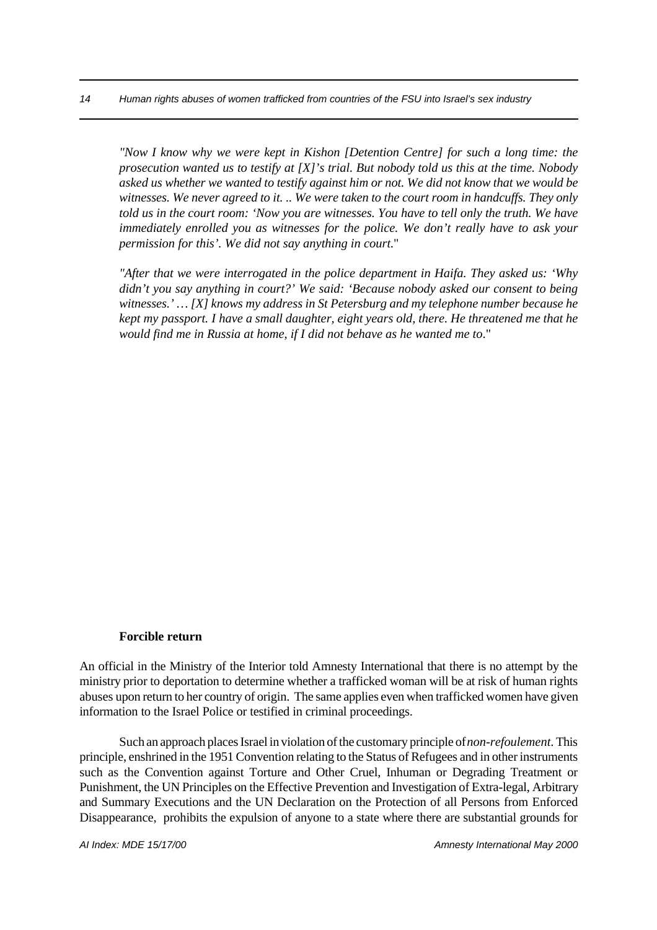*"Now I know why we were kept in Kishon [Detention Centre] for such a long time: the prosecution wanted us to testify at [X]'s trial. But nobody told us this at the time. Nobody asked us whether we wanted to testify against him or not. We did not know that we would be witnesses. We never agreed to it. .. We were taken to the court room in handcuffs. They only told us in the court room: 'Now you are witnesses. You have to tell only the truth. We have immediately enrolled you as witnesses for the police. We don't really have to ask your permission for this'. We did not say anything in court*."

*"After that we were interrogated in the police department in Haifa. They asked us: 'Why didn't you say anything in court?' We said: 'Because nobody asked our consent to being witnesses.' … [X] knows my address in St Petersburg and my telephone number because he kept my passport. I have a small daughter, eight years old, there. He threatened me that he would find me in Russia at home, if I did not behave as he wanted me to*."

#### **Forcible return**

An official in the Ministry of the Interior told Amnesty International that there is no attempt by the ministry prior to deportation to determine whether a trafficked woman will be at risk of human rights abuses upon return to her country of origin. The same applies even when trafficked women have given information to the Israel Police or testified in criminal proceedings.

Such an approach places Israel in violation of the customary principle of *non-refoulement*. This principle, enshrined in the 1951 Convention relating to the Status of Refugees and in other instruments such as the Convention against Torture and Other Cruel, Inhuman or Degrading Treatment or Punishment, the UN Principles on the Effective Prevention and Investigation of Extra-legal, Arbitrary and Summary Executions and the UN Declaration on the Protection of all Persons from Enforced Disappearance, prohibits the expulsion of anyone to a state where there are substantial grounds for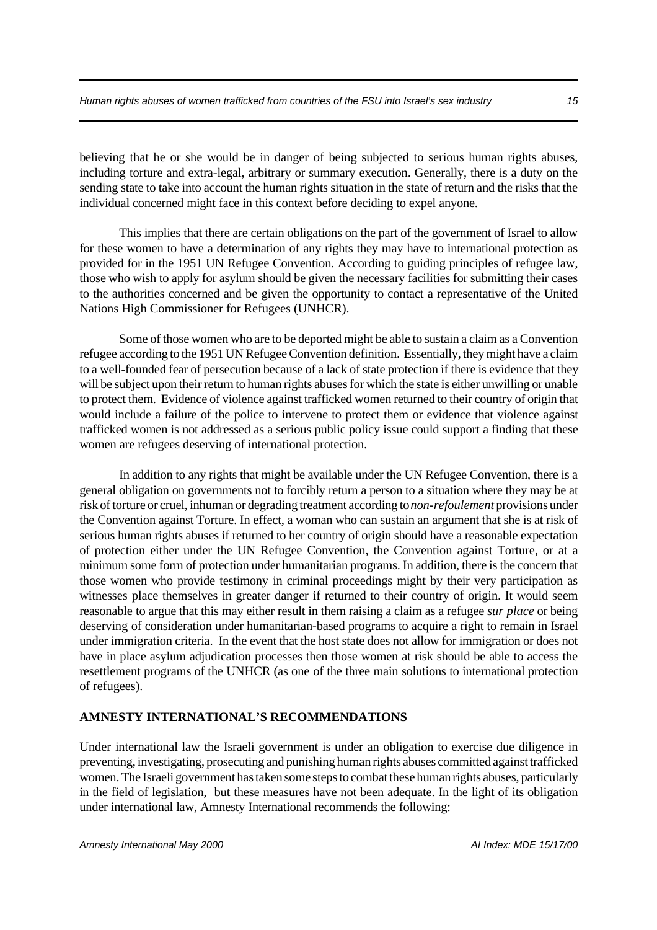believing that he or she would be in danger of being subjected to serious human rights abuses, including torture and extra-legal, arbitrary or summary execution. Generally, there is a duty on the sending state to take into account the human rights situation in the state of return and the risks that the individual concerned might face in this context before deciding to expel anyone.

This implies that there are certain obligations on the part of the government of Israel to allow for these women to have a determination of any rights they may have to international protection as provided for in the 1951 UN Refugee Convention. According to guiding principles of refugee law, those who wish to apply for asylum should be given the necessary facilities for submitting their cases to the authorities concerned and be given the opportunity to contact a representative of the United Nations High Commissioner for Refugees (UNHCR).

Some of those women who are to be deported might be able to sustain a claim as a Convention refugee according to the 1951 UN Refugee Convention definition. Essentially, they might have a claim to a well-founded fear of persecution because of a lack of state protection if there is evidence that they will be subject upon their return to human rights abuses for which the state is either unwilling or unable to protect them. Evidence of violence against trafficked women returned to their country of origin that would include a failure of the police to intervene to protect them or evidence that violence against trafficked women is not addressed as a serious public policy issue could support a finding that these women are refugees deserving of international protection.

In addition to any rights that might be available under the UN Refugee Convention, there is a general obligation on governments not to forcibly return a person to a situation where they may be at risk of torture or cruel, inhuman or degrading treatment according to *non-refoulement* provisions under the Convention against Torture. In effect, a woman who can sustain an argument that she is at risk of serious human rights abuses if returned to her country of origin should have a reasonable expectation of protection either under the UN Refugee Convention, the Convention against Torture, or at a minimum some form of protection under humanitarian programs. In addition, there is the concern that those women who provide testimony in criminal proceedings might by their very participation as witnesses place themselves in greater danger if returned to their country of origin. It would seem reasonable to argue that this may either result in them raising a claim as a refugee *sur place* or being deserving of consideration under humanitarian-based programs to acquire a right to remain in Israel under immigration criteria. In the event that the host state does not allow for immigration or does not have in place asylum adjudication processes then those women at risk should be able to access the resettlement programs of the UNHCR (as one of the three main solutions to international protection of refugees).

## **AMNESTY INTERNATIONAL'S RECOMMENDATIONS**

Under international law the Israeli government is under an obligation to exercise due diligence in preventing, investigating, prosecuting and punishing human rights abuses committed against trafficked women. The Israeli government has taken some steps to combat these human rights abuses, particularly in the field of legislation, but these measures have not been adequate. In the light of its obligation under international law, Amnesty International recommends the following: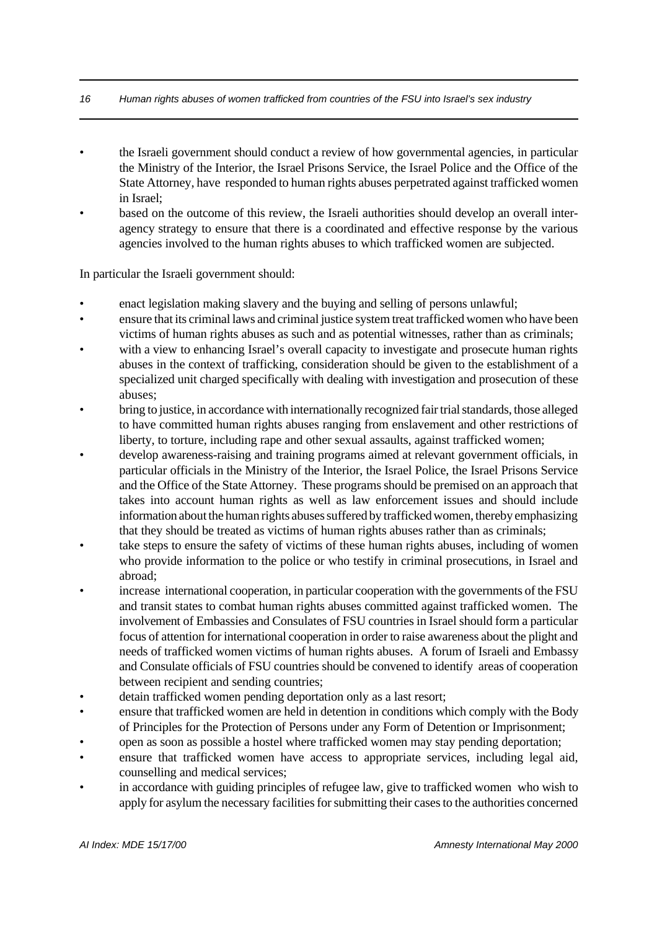## *16 Human rights abuses of women trafficked from countries of the FSU into Israel's sex industry*

- the Israeli government should conduct a review of how governmental agencies, in particular the Ministry of the Interior, the Israel Prisons Service, the Israel Police and the Office of the State Attorney, have responded to human rights abuses perpetrated against trafficked women in Israel;
- based on the outcome of this review, the Israeli authorities should develop an overall interagency strategy to ensure that there is a coordinated and effective response by the various agencies involved to the human rights abuses to which trafficked women are subjected.

In particular the Israeli government should:

- enact legislation making slavery and the buying and selling of persons unlawful;
- ensure that its criminal laws and criminal justice system treat trafficked women who have been victims of human rights abuses as such and as potential witnesses, rather than as criminals;
- with a view to enhancing Israel's overall capacity to investigate and prosecute human rights abuses in the context of trafficking, consideration should be given to the establishment of a specialized unit charged specifically with dealing with investigation and prosecution of these abuses;
- bring to justice, in accordance with internationally recognized fair trial standards, those alleged to have committed human rights abuses ranging from enslavement and other restrictions of liberty, to torture, including rape and other sexual assaults, against trafficked women;
- develop awareness-raising and training programs aimed at relevant government officials, in particular officials in the Ministry of the Interior, the Israel Police, the Israel Prisons Service and the Office of the State Attorney. These programs should be premised on an approach that takes into account human rights as well as law enforcement issues and should include information about the human rights abuses suffered by trafficked women, thereby emphasizing that they should be treated as victims of human rights abuses rather than as criminals;
- take steps to ensure the safety of victims of these human rights abuses, including of women who provide information to the police or who testify in criminal prosecutions, in Israel and abroad;
- increase international cooperation, in particular cooperation with the governments of the FSU and transit states to combat human rights abuses committed against trafficked women. The involvement of Embassies and Consulates of FSU countries in Israel should form a particular focus of attention for international cooperation in order to raise awareness about the plight and needs of trafficked women victims of human rights abuses. A forum of Israeli and Embassy and Consulate officials of FSU countries should be convened to identify areas of cooperation between recipient and sending countries;
- detain trafficked women pending deportation only as a last resort;
- ensure that trafficked women are held in detention in conditions which comply with the Body of Principles for the Protection of Persons under any Form of Detention or Imprisonment;
- open as soon as possible a hostel where trafficked women may stay pending deportation;
- ensure that trafficked women have access to appropriate services, including legal aid, counselling and medical services;
- in accordance with guiding principles of refugee law, give to trafficked women who wish to apply for asylum the necessary facilities for submitting their cases to the authorities concerned